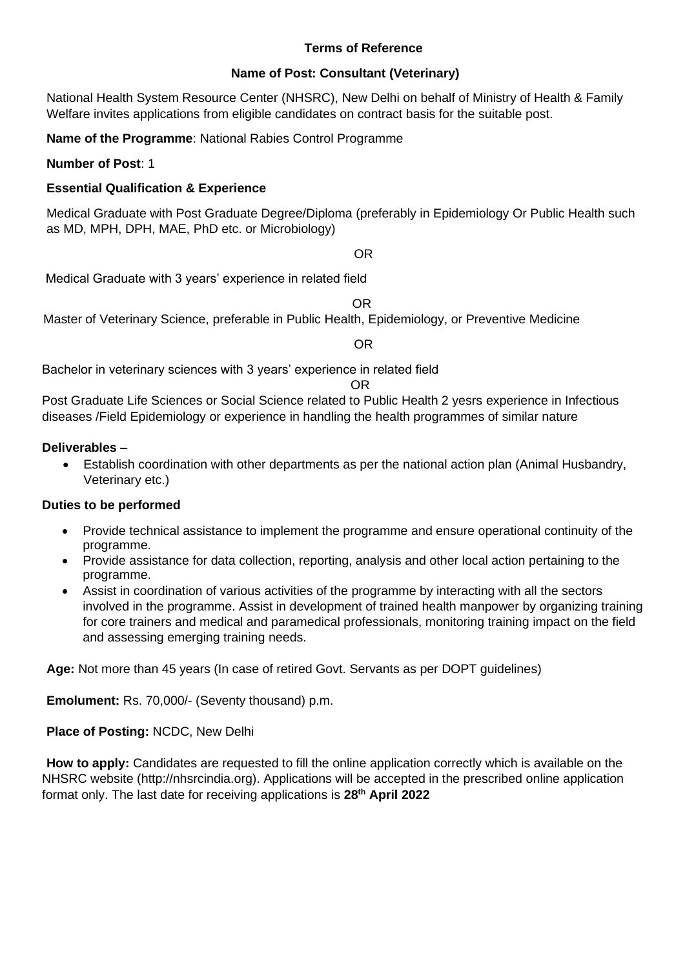### **Terms of Reference**

#### **Name of Post: Consultant (Veterinary)**

National Health System Resource Center (NHSRC), New Delhi on behalf of Ministry of Health & Family Welfare invites applications from eligible candidates on contract basis for the suitable post.

**Name of the Programme**: National Rabies Control Programme

#### **Number of Post**: 1

### **Essential Qualification & Experience**

Medical Graduate with Post Graduate Degree/Diploma (preferably in Epidemiology Or Public Health such as MD, MPH, DPH, MAE, PhD etc. or Microbiology)

#### OR

Medical Graduate with 3 years' experience in related field

OR

Master of Veterinary Science, preferable in Public Health, Epidemiology, or Preventive Medicine

OR

Bachelor in veterinary sciences with 3 years' experience in related field

#### OR

Post Graduate Life Sciences or Social Science related to Public Health 2 yesrs experience in Infectious diseases /Field Epidemiology or experience in handling the health programmes of similar nature

#### **Deliverables –**

• Establish coordination with other departments as per the national action plan (Animal Husbandry, Veterinary etc.)

#### **Duties to be performed**

- Provide technical assistance to implement the programme and ensure operational continuity of the programme.
- Provide assistance for data collection, reporting, analysis and other local action pertaining to the programme.
- Assist in coordination of various activities of the programme by interacting with all the sectors involved in the programme. Assist in development of trained health manpower by organizing training for core trainers and medical and paramedical professionals, monitoring training impact on the field and assessing emerging training needs.

**Age:** Not more than 45 years (In case of retired Govt. Servants as per DOPT guidelines)

**Emolument:** Rs. 70,000/- (Seventy thousand) p.m.

**Place of Posting:** NCDC, New Delhi

**How to apply:** Candidates are requested to fill the online application correctly which is available on the NHSRC website (http://nhsrcindia.org). Applications will be accepted in the prescribed online application format only. The last date for receiving applications is **28 th April 2022**